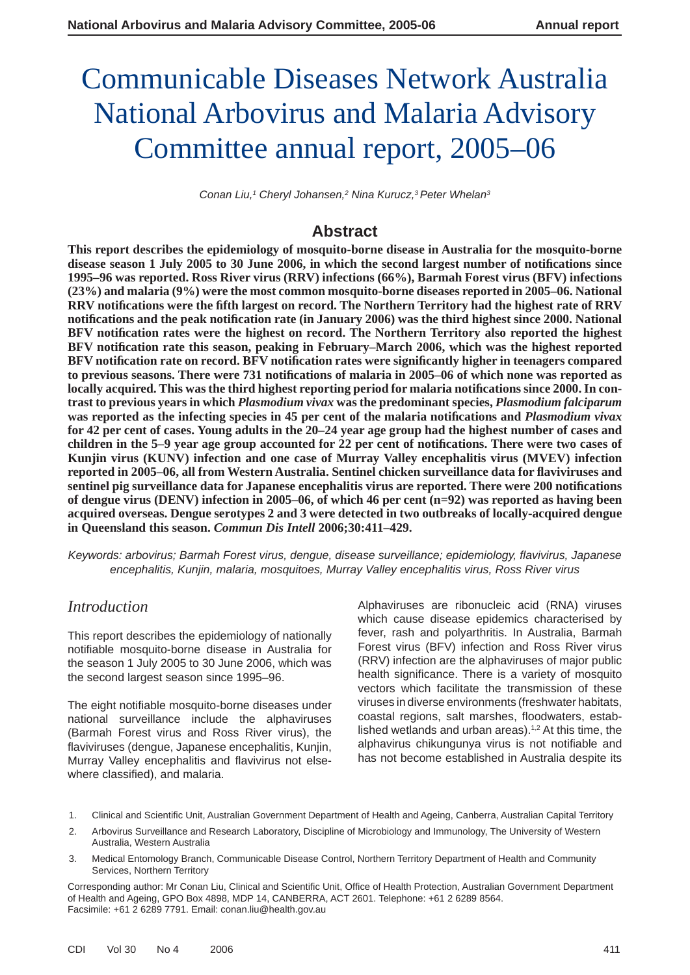# Communicable Diseases Network Australia National Arbovirus and Malaria Advisory Committee annual report, 2005–06

Conan Liu,<sup>1</sup> Cheryl Johansen,<sup>2</sup> Nina Kurucz,<sup>3</sup> Peter Whelan<sup>3</sup>

# **Abstract**

**This report describes the epidemiology of mosquito-borne disease in Australia for the mosquito-borne**  disease season 1 July 2005 to 30 June 2006, in which the second largest number of notifications since **1995–96 was reported. Ross River virus (RRV) infections (66%), Barmah Forest virus (BFV) infections (23%) and malaria (9%) were the most common mosquito-borne diseases reported in 2005–06. National RRV notifi cations were the fi fth largest on record. The Northern Territory had the highest rate of RRV notifications and the peak notification rate (in January 2006) was the third highest since 2000. National** BFV notification rates were the highest on record. The Northern Territory also reported the highest **BFV notifi cation rate this season, peaking in February–March 2006, which was the highest reported BFV notifi cation rate on record. BFV notifi cation rates were signifi cantly higher in teen agers compared**  to previous seasons. There were 731 notifications of malaria in 2005–06 of which none was reported as locally acquired. This was the third highest reporting period for malaria notifications since 2000. In con**trast to previous years in which** *Plasmodium vivax* **was the predominant species,** *Plasmodium falciparum* was reported as the infecting species in 45 per cent of the malaria notifications and *Plasmodium vivax* **for 42 per cent of cases. Young adults in the 20–24 year age group had the highest number of cases and**  children in the 5–9 year age group accounted for 22 per cent of notifications. There were two cases of **Kunjin virus (KUNV) infection and one case of Murray Valley encephalitis virus (MVEV) infection reported in 2005–06, all from Western Australia. Sentinel chicken surveillance data for fl aviviruses and sentinel pig surveillance data for Japanese encephalitis virus are reported. There were 200 notifi cations of dengue virus (DENV) infection in 2005–06, of which 46 per cent (n=92) was reported as having been acquired overseas. Dengue serotypes 2 and 3 were detected in two outbreaks of locally-acquired dengue in Queensland this season.** *Commun Dis Intell* **2006;30:411–429.**

*Keywords: arbovirus; Barmah Forest virus, dengue, disease surveillance; epidemiology, fl avivirus, Japanese encephalitis, Kunjin, malaria, mosquitoes, Murray Valley encephalitis virus, Ross River virus*

# *Introduction*

This report describes the epidemiology of nationally notifiable mosquito-borne disease in Australia for the season 1 July 2005 to 30 June 2006, which was the second largest season since 1995–96.

The eight notifiable mosquito-borne diseases under national surveillance include the alphaviruses (Barmah Forest virus and Ross River virus), the flaviviruses (dengue, Japanese encephalitis, Kunjin, Murray Valley encephalitis and flavivirus not elsewhere classified), and malaria.

Alphaviruses are ribonucleic acid (RNA) viruses which cause disease epidemics characterised by fever, rash and polyarthritis. In Australia, Barmah Forest virus (BFV) infection and Ross River virus (RRV) infection are the alphaviruses of major public health significance. There is a variety of mosquito vectors which facilitate the transmission of these viruses in diverse environments (freshwater habitats, coastal regions, salt marshes, floodwaters, established wetlands and urban areas). $1/2$  At this time, the alphavirus chikungunya virus is not notifiable and has not become established in Australia despite its

- 1. Clinical and Scientific Unit, Australian Government Department of Health and Ageing, Canberra, Australian Capital Territory
- 2. Arbovirus Surveillance and Research Laboratory, Discipline of Microbiology and Immunology, The University of Western Australia, Western Australia
- 3. Medical Entomology Branch, Communicable Disease Control, Northern Territory Department of Health and Community Services, Northern Territory

Corresponding author: Mr Conan Liu, Clinical and Scientific Unit, Office of Health Protection, Australian Government Department of Health and Ageing, GPO Box 4898, MDP 14, CANBERRA, ACT 2601. Telephone: +61 2 6289 8564. Facsimile: +61 2 6289 7791. Email: conan.liu@health.gov.au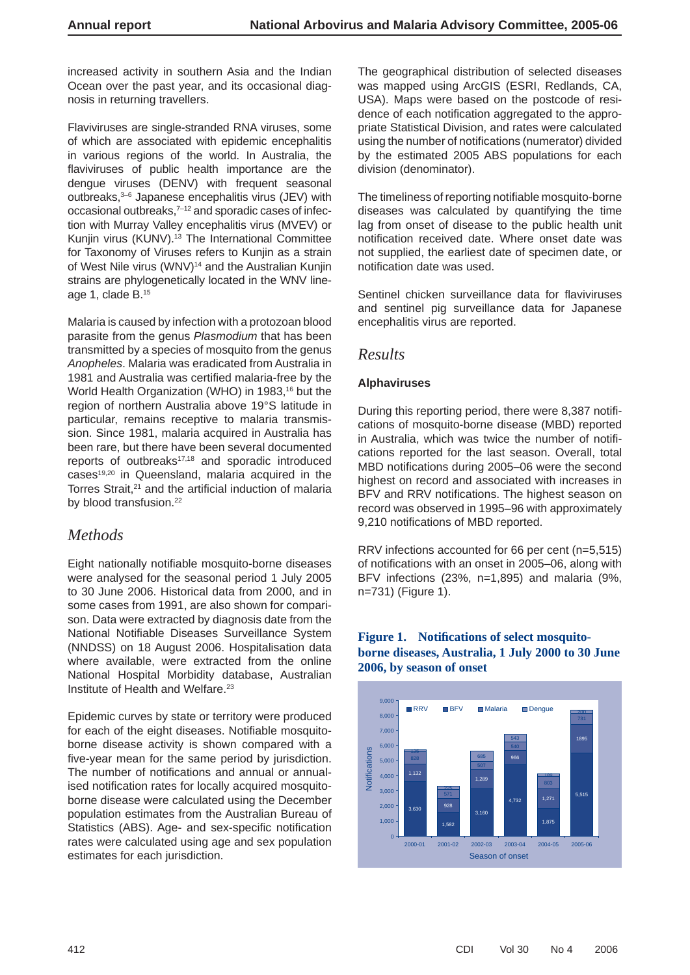increased activity in southern Asia and the Indian Ocean over the past year, and its occasional diagnosis in returning travellers.

Flaviviruses are single-stranded RNA viruses, some of which are associated with epidemic encephalitis in various regions of the world. In Australia, the flaviviruses of public health importance are the dengue viruses (DENV) with frequent seasonal outbreaks,3–6 Japanese encephalitis virus (JEV) with occasional outbreaks,<sup>7-12</sup> and sporadic cases of infection with Murray Valley encephalitis virus (MVEV) or Kunjin virus (KUNV).<sup>13</sup> The International Committee for Taxonomy of Viruses refers to Kunjin as a strain of West Nile virus (WNV)<sup>14</sup> and the Australian Kunjin strains are phylogenetically located in the WNV lineage 1, clade B.15

Malaria is caused by infection with a protozoan blood parasite from the genus *Plasmodium* that has been transmitted by a species of mosquito from the genus *Anopheles*. Malaria was eradicated from Australia in 1981 and Australia was certified malaria-free by the World Health Organization (WHO) in 1983,<sup>16</sup> but the region of northern Australia above 19°S latitude in particular, remains receptive to malaria transmission. Since 1981, malaria acquired in Australia has been rare, but there have been several documented reports of outbreaks<sup>17,18</sup> and sporadic introduced cases<sup>19,20</sup> in Queensland, malaria acquired in the Torres Strait,<sup>21</sup> and the artificial induction of malaria by blood transfusion.<sup>22</sup>

# *Methods*

Eight nationally notifiable mosquito-borne diseases were analysed for the seasonal period 1 July 2005 to 30 June 2006. Historical data from 2000, and in some cases from 1991, are also shown for comparison. Data were extracted by diagnosis date from the National Notifiable Diseases Surveillance System (NNDSS) on 18 August 2006. Hospitalisation data where available, were extracted from the online National Hospital Morbidity database, Australian Institute of Health and Welfare.23

Epidemic curves by state or territory were produced for each of the eight diseases. Notifiable mosquitoborne disease activity is shown compared with a five-year mean for the same period by jurisdiction. The number of notifications and annual or annualised notification rates for locally acquired mosquitoborne disease were calculated using the December population estimates from the Australian Bureau of Statistics (ABS). Age- and sex-specific notification rates were calculated using age and sex population estimates for each jurisdiction.

The geographical distribution of selected diseases was mapped using ArcGIS (ESRI, Redlands, CA, USA). Maps were based on the postcode of residence of each notification aggregated to the appropriate Statistical Division, and rates were calculated using the number of notifications (numerator) divided by the estimated 2005 ABS populations for each division (denominator).

The timeliness of reporting notifiable mosquito-borne diseases was calculated by quantifying the time lag from onset of disease to the public health unit notification received date. Where onset date was not supplied, the earliest date of specimen date, or notification date was used.

Sentinel chicken surveillance data for flaviviruses and sentinel pig surveillance data for Japanese encephalitis virus are reported.

# *Results*

#### **Alphaviruses**

During this reporting period, there were 8,387 notifications of mosquito-borne disease (MBD) reported in Australia, which was twice the number of notifications reported for the last season. Overall, total MBD notifications during 2005–06 were the second highest on record and associated with increases in BFV and RRV notifications. The highest season on record was observed in 1995–96 with approximately 9,210 notifications of MBD reported.

RRV infections accounted for 66 per cent (n=5,515) of notifications with an onset in 2005–06, along with BFV infections (23%, n=1,895) and malaria (9%, n=731) (Figure 1).



#### Figure 1. Notifications of select mosquito**borne diseases, Australia, 1 July 2000 to 30 June 2006, by season of onset**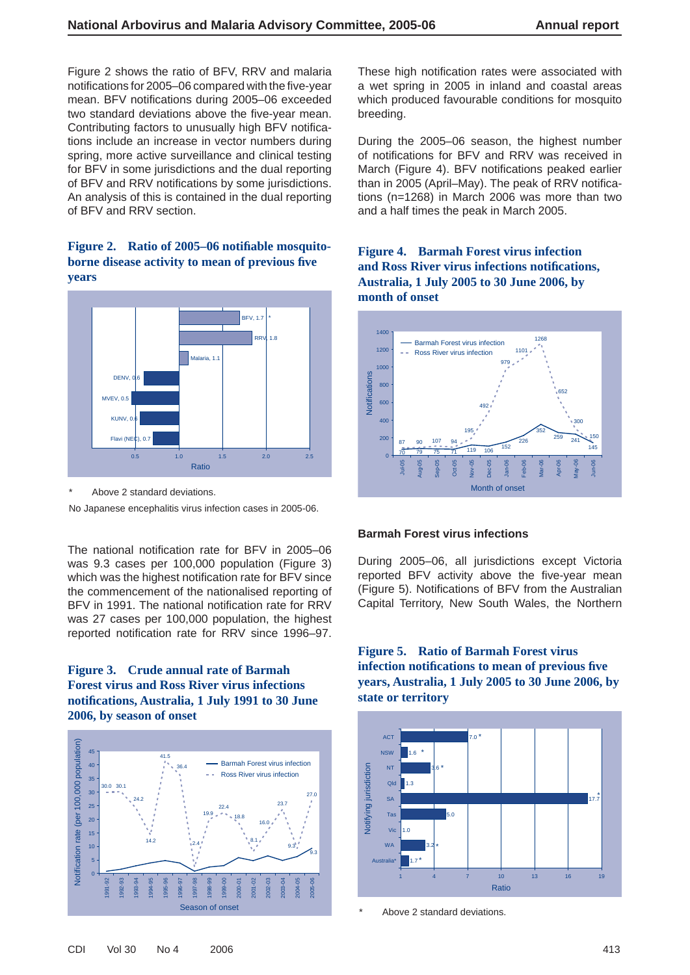Figure 2 shows the ratio of BFV, RRV and malaria notifications for 2005–06 compared with the five-year mean. BFV notifications during 2005-06 exceeded two standard deviations above the five-year mean. Contributing factors to unusually high BFV notifications include an increase in vector numbers during spring, more active surveillance and clinical testing for BFV in some jurisdictions and the dual reporting of BFV and RRV notifications by some jurisdictions. An analysis of this is contained in the dual reporting of BFV and RRV section.

#### Figure 2. Ratio of 2005–06 notifiable mosquito**borne disease activity to mean of previous fi ve years**



Above 2 standard deviations.

No Japanese encephalitis virus infection cases in 2005-06.

The national notification rate for BFV in 2005–06 was 9.3 cases per 100,000 population (Figure 3) which was the highest notification rate for BFV since the commencement of the nationalised reporting of BFV in 1991. The national notification rate for RRV was 27 cases per 100,000 population, the highest reported notification rate for RRV since 1996-97.

#### **Figure 3. Crude annual rate of Barmah Forest virus and Ross River virus infections notifi cations, Australia, 1 July 1991 to 30 June 2006, by season of onset**



These high notification rates were associated with a wet spring in 2005 in inland and coastal areas which produced favourable conditions for mosquito breeding.

During the 2005–06 season, the highest number of notifications for BFV and RRV was received in March (Figure 4). BFV notifications peaked earlier than in 2005 (April–May). The peak of RRV notifications (n=1268) in March 2006 was more than two and a half times the peak in March 2005.

# **Figure 4. Barmah Forest virus infection and Ross River virus infections notifi cations, Australia, 1 July 2005 to 30 June 2006, by month of onset**



#### **Barmah Forest virus infections**

During 2005–06, all jurisdictions except Victoria reported BFV activity above the five-year mean (Figure 5). Notifications of BFV from the Australian Capital Territory, New South Wales, the Northern

# **Figure 5. Ratio of Barmah Forest virus infection notifi cations to mean of previous fi ve years, Australia, 1 July 2005 to 30 June 2006, by state or territory**



Above 2 standard deviations.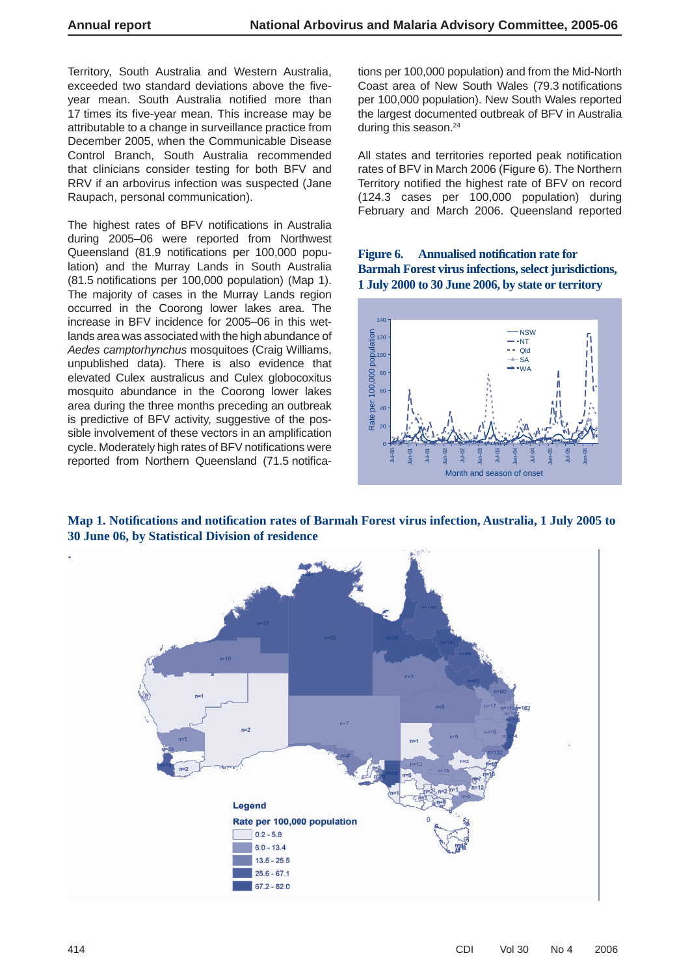Territory, South Australia and Western Australia, exceeded two standard deviations above the fiveyear mean. South Australia notified more than 17 times its five-year mean. This increase may be attributable to a change in surveillance practice from December 2005, when the Communicable Disease Control Branch, South Australia recommended that clinicians consider testing for both BFV and RRV if an arbovirus infection was suspected (Jane Raupach, personal communication).

The highest rates of BFV notifications in Australia during 2005–06 were reported from Northwest Queensland (81.9 notifications per 100,000 population) and the Murray Lands in South Australia (81.5 notifications per 100,000 population) (Map 1). The majority of cases in the Murray Lands region occurred in the Coorong lower lakes area. The increase in BFV incidence for 2005–06 in this wetlands area was associated with the high abundance of *Aedes camptorhynchus* mosquitoes (Craig Williams, unpublished data). There is also evidence that elevated Culex australicus and Culex globocoxitus mosquito abundance in the Coorong lower lakes area during the three months preceding an outbreak is predictive of BFV activity, suggestive of the possible involvement of these vectors in an amplification cycle. Moderately high rates of BFV notifications were reported from Northern Queensland (71.5 notifications per 100,000 population) and from the Mid-North Coast area of New South Wales (79.3 notifications per 100,000 population). New South Wales reported the largest documented outbreak of BFV in Australia during this season.<sup>24</sup>

All states and territories reported peak notification rates of BFV in March 2006 (Figure 6). The Northern Territory notified the highest rate of BFV on record (124.3 cases per 100,000 population) during February and March 2006. Queensland reported

# Figure 6. Annualised notification rate for **Barmah Forest virus infections, select jurisdictions, 1 July 2000 to 30 June 2006, by state or territory**





**Map 1. Notifi cations and notifi cation rates of Barmah Forest virus infection, Australia, 1 July 2005 to 30 June 06, by Statistical Division of residence**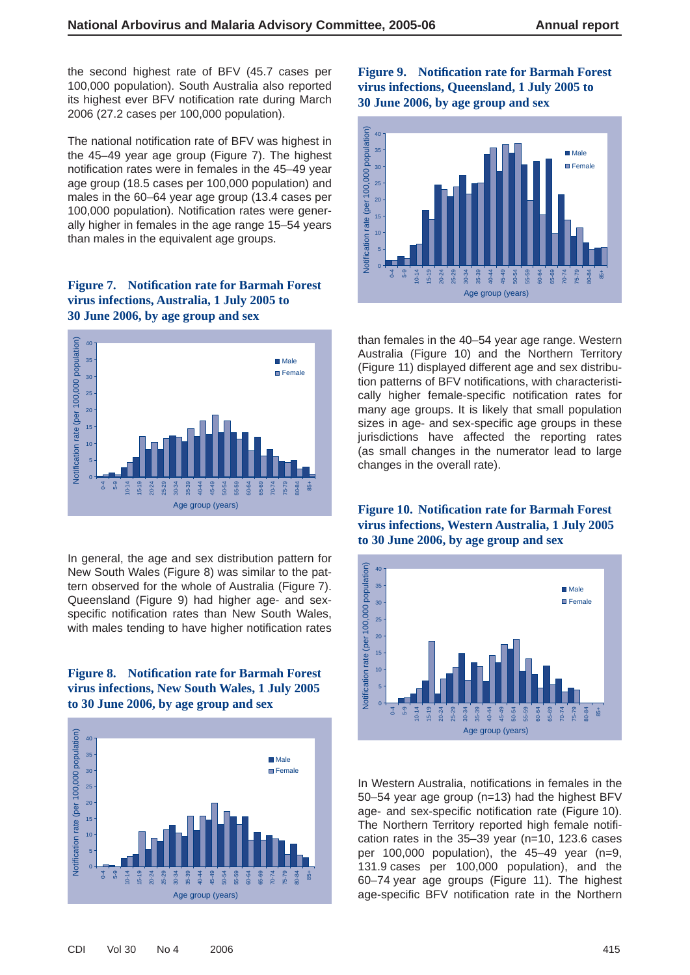the second highest rate of BFV (45.7 cases per 100,000 population). South Australia also reported its highest ever BFV notification rate during March 2006 (27.2 cases per 100,000 population).

The national notification rate of BFV was highest in the 45–49 year age group (Figure 7). The highest notification rates were in females in the 45-49 year age group (18.5 cases per 100,000 population) and males in the 60–64 year age group (13.4 cases per 100,000 population). Notification rates were generally higher in females in the age range 15–54 years than males in the equivalent age groups.

# Figure 7. Notification rate for Barmah Forest **virus infections, Australia, 1 July 2005 to 30 June 2006, by age group and sex**



In general, the age and sex distribution pattern for New South Wales (Figure 8) was similar to the pattern observed for the whole of Australia (Figure 7). Queensland (Figure 9) had higher age- and sexspecific notification rates than New South Wales, with males tending to have higher notification rates

#### **Figure 8. Notification rate for Barmah Forest virus infections, New South Wales, 1 July 2005 to 30 June 2006, by age group and sex**



# **Figure 9. Notification rate for Barmah Forest virus infections, Queensland, 1 July 2005 to 30 June 2006, by age group and sex**



than females in the 40–54 year age range. Western Australia (Figure 10) and the Northern Territory (Figure 11) displayed different age and sex distribution patterns of BFV notifications, with characteristically higher female-specific notification rates for many age groups. It is likely that small population sizes in age- and sex-specific age groups in these jurisdictions have affected the reporting rates (as small changes in the numerator lead to large changes in the overall rate).

# **Figure 10. Notification rate for Barmah Forest virus infections, Western Australia, 1 July 2005 to 30 June 2006, by age group and sex**



In Western Australia, notifications in females in the 50–54 year age group (n=13) had the highest BFV age- and sex-specific notification rate (Figure 10). The Northern Territory reported high female notification rates in the 35–39 year (n=10, 123.6 cases per 100,000 population), the 45–49 year (n=9, 131.9 cases per 100,000 population), and the 60–74 year age groups (Figure 11). The highest age-specific BFV notification rate in the Northern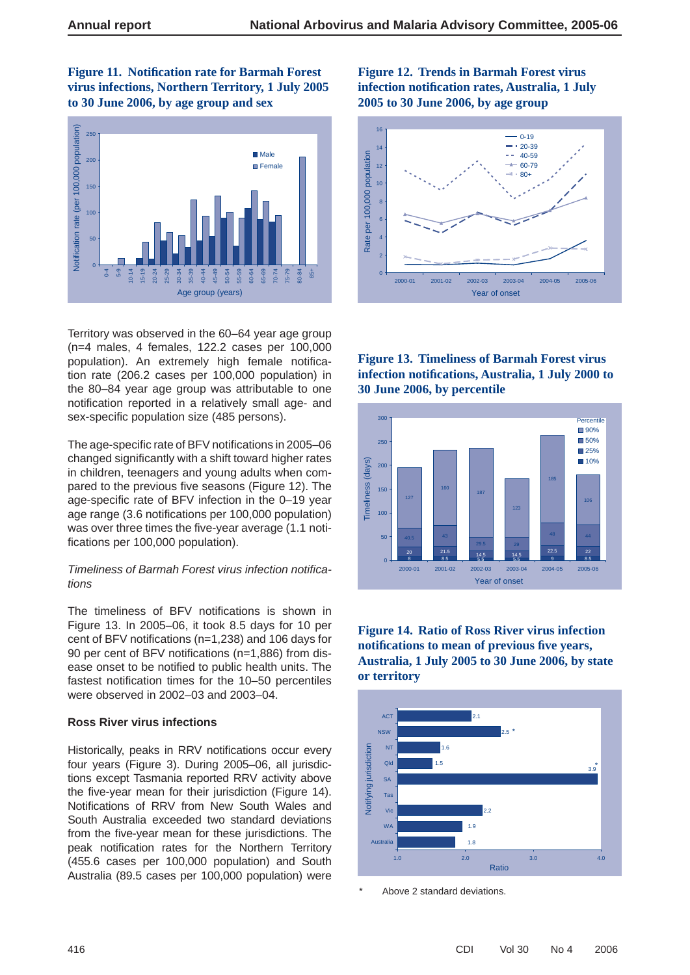**Figure 11. Notification rate for Barmah Forest virus infections, Northern Territory, 1 July 2005 to 30 June 2006, by age group and sex**



Territory was observed in the 60–64 year age group (n=4 males, 4 females, 122.2 cases per 100,000 population). An extremely high female notification rate (206.2 cases per 100,000 population) in the 80–84 year age group was attributable to one notification reported in a relatively small age- and sex-specific population size (485 persons).

The age-specific rate of BFV notifications in 2005–06 changed significantly with a shift toward higher rates in children, teenagers and young adults when compared to the previous five seasons (Figure 12). The age-specific rate of BFV infection in the 0-19 year age range (3.6 notifications per 100,000 population) was over three times the five-year average (1.1 notifications per 100,000 population).

#### **Timeliness of Barmah Forest virus infection notifica***tions*

The timeliness of BFV notifications is shown in Figure 13. In 2005–06, it took 8.5 days for 10 per cent of BFV notifications ( $n=1,238$ ) and 106 days for 90 per cent of BFV notifications (n=1,886) from disease onset to be notified to public health units. The fastest notification times for the 10–50 percentiles were observed in 2002–03 and 2003–04.

#### **Ross River virus infections**

Historically, peaks in RRV notifications occur every four years (Figure 3). During 2005–06, all jurisdictions except Tasmania reported RRV activity above the five-year mean for their jurisdiction (Figure 14). Notifications of RRV from New South Wales and South Australia exceeded two standard deviations from the five-year mean for these jurisdictions. The peak notification rates for the Northern Territory (455.6 cases per 100,000 population) and South Australia (89.5 cases per 100,000 population) were

# **Figure 12. Trends in Barmah Forest virus infection notifi cation rates, Australia, 1 July 2005 to 30 June 2006, by age group**



**Figure 13. Timeliness of Barmah Forest virus infection notifi cations, Australia, 1 July 2000 to 30 June 2006, by percentile**



# **Figure 14. Ratio of Ross River virus infection notifi cations to mean of previous fi ve years, Australia, 1 July 2005 to 30 June 2006, by state or territory**



Above 2 standard deviations.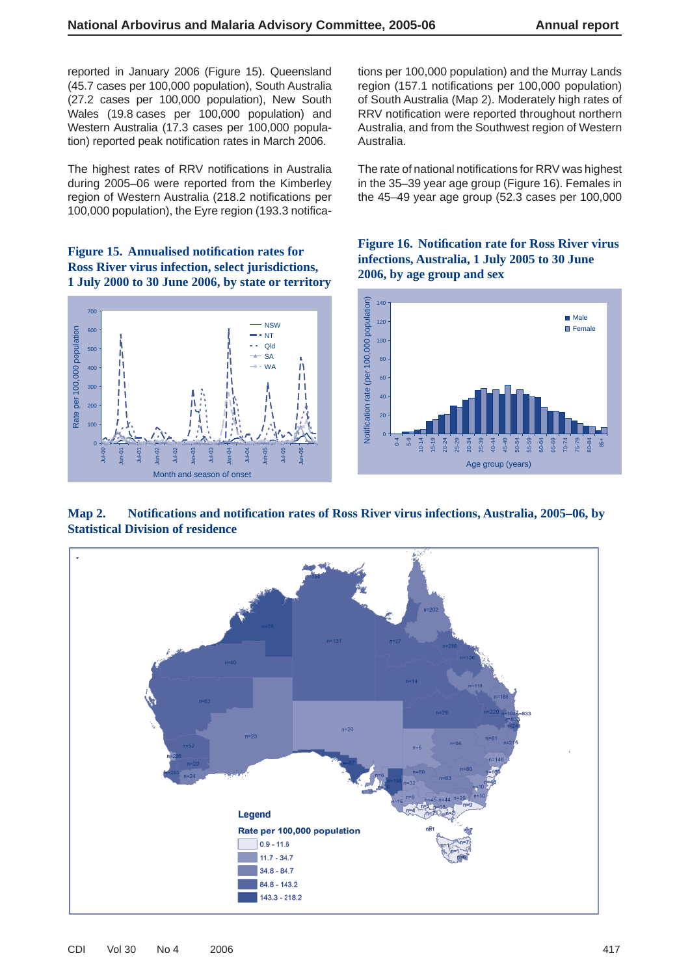reported in January 2006 (Figure 15). Queensland (45.7 cases per 100,000 population), South Australia (27.2 cases per 100,000 population), New South Wales (19.8 cases per 100,000 population) and Western Australia (17.3 cases per 100,000 population) reported peak notification rates in March 2006.

The highest rates of RRV notifications in Australia during 2005–06 were reported from the Kimberley region of Western Australia (218.2 notifications per 100,000 population), the Eyre region (193.3 notifica-

**Figure 15. Annualised notification rates for Ross River virus infection, select jurisdictions, 1 July 2000 to 30 June 2006, by state or territory**



tions per 100,000 population) and the Murray Lands region (157.1 notifications per 100,000 population) of South Australia (Map 2). Moderately high rates of RRV notification were reported throughout northern Australia, and from the Southwest region of Western Australia.

The rate of national notifications for RRV was highest in the 35–39 year age group (Figure 16). Females in the 45–49 year age group (52.3 cases per 100,000

Figure 16. Notification rate for Ross River virus **infections, Australia, 1 July 2005 to 30 June 2006, by age group and sex**



**Map 2. Notifi cations and notifi cation rates of Ross River virus infections, Australia, 2005–06, by Statistical Division of residence**

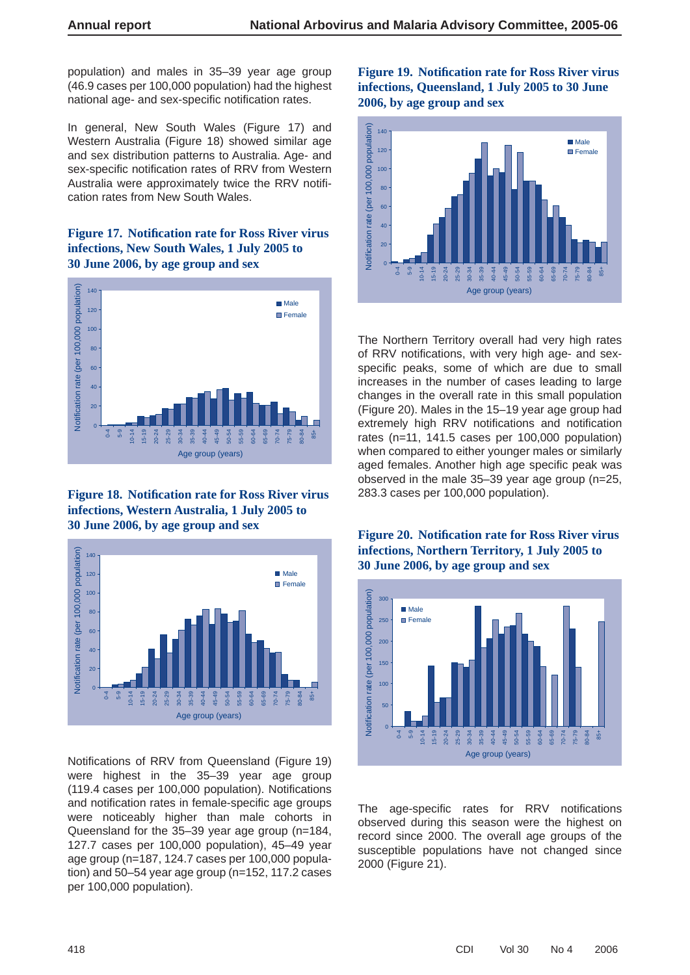population) and males in 35–39 year age group (46.9 cases per 100,000 population) had the highest national age- and sex-specific notification rates.

In general, New South Wales (Figure 17) and Western Australia (Figure 18) showed similar age and sex distribution patterns to Australia. Age- and sex-specific notification rates of RRV from Western Australia were approximately twice the RRV notification rates from New South Wales.

# **Figure 17. Notification rate for Ross River virus infections, New South Wales, 1 July 2005 to 30 June 2006, by age group and sex**



Figure 18. Notification rate for Ross River virus **infections, Western Australia, 1 July 2005 to 30 June 2006, by age group and sex**



Notifications of RRV from Queensland (Figure 19) were highest in the 35–39 year age group  $(119.4 \text{ cases per } 100,000 \text{ population})$ . Notifications and notification rates in female-specific age groups were noticeably higher than male cohorts in Queensland for the 35–39 year age group (n=184, 127.7 cases per 100,000 population), 45–49 year age group (n=187, 124.7 cases per 100,000 population) and 50–54 year age group (n=152, 117.2 cases per 100,000 population).

# **Figure 19. Notifi cation rate for Ross River virus infections, Queensland, 1 July 2005 to 30 June 2006, by age group and sex**



The Northern Territory overall had very high rates of RRV notifications, with very high age- and sexspecific peaks, some of which are due to small increases in the number of cases leading to large changes in the overall rate in this small population (Figure 20). Males in the 15–19 year age group had extremely high RRV notifications and notification rates (n=11, 141.5 cases per 100,000 population) when compared to either younger males or similarly aged females. Another high age specific peak was observed in the male 35–39 year age group (n=25, 283.3 cases per 100,000 population).

# **Figure 20. Notifi cation rate for Ross River virus infections, Northern Territory, 1 July 2005 to 30 June 2006, by age group and sex**



The age-specific rates for RRV notifications observed during this season were the highest on record since 2000. The overall age groups of the susceptible populations have not changed since 2000 (Figure 21).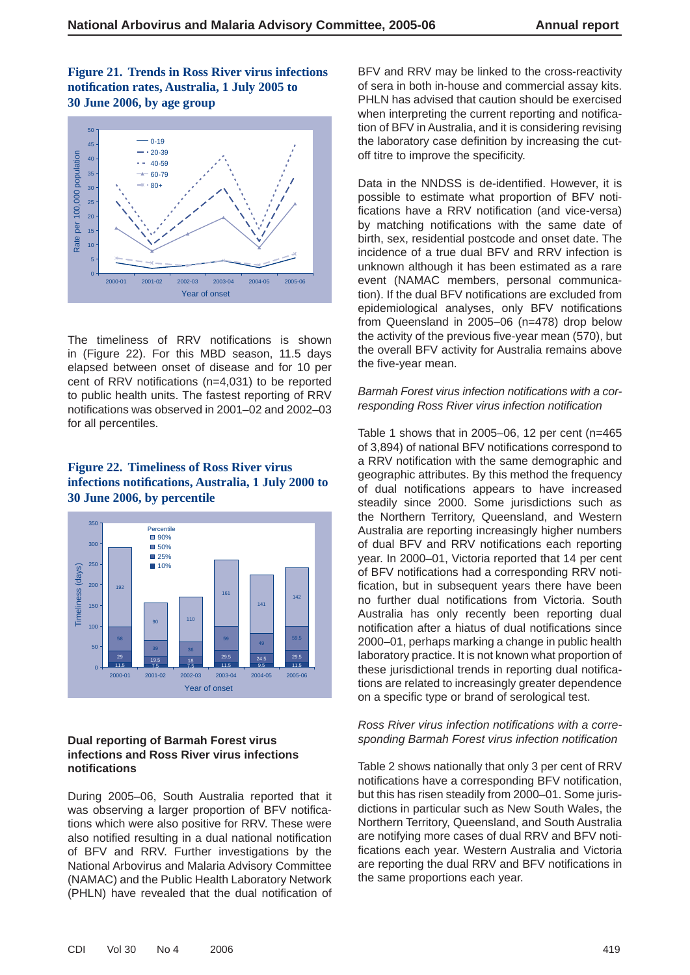**Figure 21. Trends in Ross River virus infections notifi cation rates, Australia, 1 July 2005 to 30 June 2006, by age group**



The timeliness of RRV notifications is shown in (Figure 22). For this MBD season, 11.5 days elapsed between onset of disease and for 10 per cent of RRV notifications ( $n=4,031$ ) to be reported to public health units. The fastest reporting of RRV notifications was observed in 2001–02 and 2002–03 for all percentiles.

#### **Figure 22. Timeliness of Ross River virus infections notifi cations, Australia, 1 July 2000 to 30 June 2006, by percentile**



#### **Dual reporting of Barmah Forest virus infections and Ross River virus infections notifi cations**

During 2005–06, South Australia reported that it was observing a larger proportion of BFV notifications which were also positive for RRV. These were also notified resulting in a dual national notification of BFV and RRV. Further investigations by the National Arbovirus and Malaria Advisory Committee (NAMAC) and the Public Health Laboratory Network (PHLN) have revealed that the dual notification of

BFV and RRV may be linked to the cross-reactivity of sera in both in-house and commercial assay kits. PHLN has advised that caution should be exercised when interpreting the current reporting and notification of BFV in Australia, and it is considering revising the laboratory case definition by increasing the cutoff titre to improve the specificity.

Data in the NNDSS is de-identified. However, it is possible to estimate what proportion of BFV notifications have a RRV notification (and vice-versa) by matching notifications with the same date of birth, sex, residential postcode and onset date. The incidence of a true dual BFV and RRV infection is unknown although it has been estimated as a rare event (NAMAC members, personal communication). If the dual BFV notifications are excluded from epidemiological analyses, only BFV notifications from Queensland in 2005–06 (n=478) drop below the activity of the previous five-year mean (570), but the overall BFV activity for Australia remains above the five-year mean.

#### **Barmah Forest virus infection notifications with a cor***responding Ross River virus infection notifi cation*

Table 1 shows that in 2005–06, 12 per cent (n=465) of 3,894) of national BFV notifications correspond to a RRV notification with the same demographic and geographic attributes. By this method the frequency of dual notifications appears to have increased steadily since 2000. Some jurisdictions such as the Northern Territory, Queensland, and Western Australia are reporting increasingly higher numbers of dual BFV and RRV notifications each reporting year. In 2000–01, Victoria reported that 14 per cent of BFV notifications had a corresponding RRV notification, but in subsequent years there have been no further dual notifications from Victoria. South Australia has only recently been reporting dual notification after a hiatus of dual notifications since 2000–01, perhaps marking a change in public health laboratory practice. It is not known what proportion of these jurisdictional trends in reporting dual notifications are related to increasingly greater dependence on a specific type or brand of serological test.

#### **Ross River virus infection notifications with a corre***sponding Barmah Forest virus infection notifi cation*

Table 2 shows nationally that only 3 per cent of RRV notifications have a corresponding BFV notification, but this has risen steadily from 2000–01. Some jurisdictions in particular such as New South Wales, the Northern Territory, Queensland, and South Australia are notifying more cases of dual RRV and BFV notifications each year. Western Australia and Victoria are reporting the dual RRV and BFV notifications in the same proportions each year.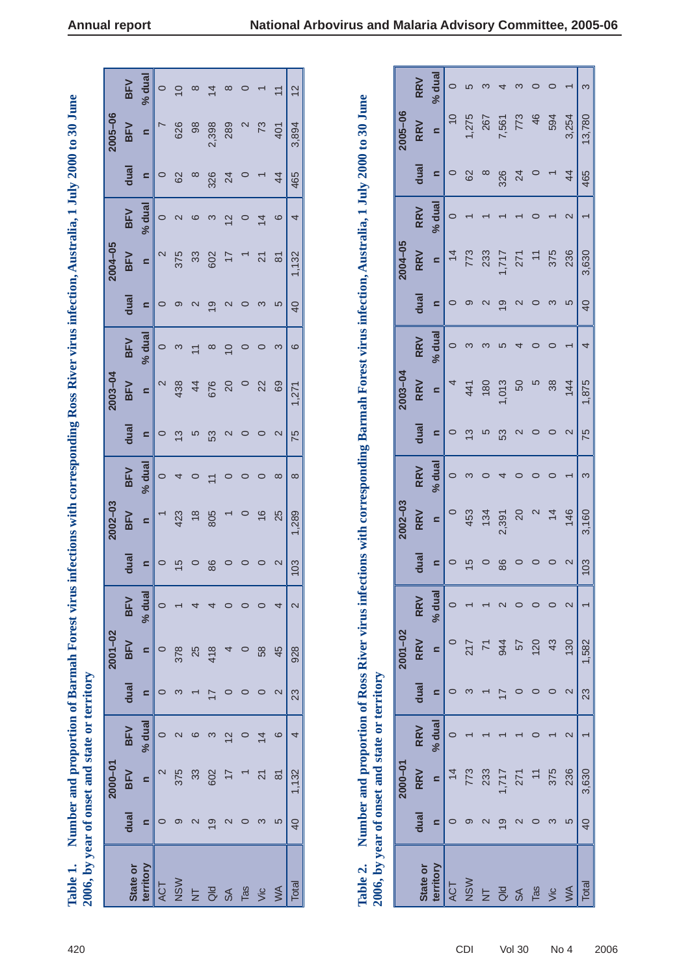|                                                                                                                                                                                                                                                                       |             |            | ಸಿ                       |               |  |
|-----------------------------------------------------------------------------------------------------------------------------------------------------------------------------------------------------------------------------------------------------------------------|-------------|------------|--------------------------|---------------|--|
|                                                                                                                                                                                                                                                                       | 2005-06     | <b>BFV</b> | s                        | 626           |  |
|                                                                                                                                                                                                                                                                       |             | dual       | s                        | 62            |  |
|                                                                                                                                                                                                                                                                       |             | <b>BFV</b> | % dual                   | 2             |  |
|                                                                                                                                                                                                                                                                       | $2004 - 05$ | BFV        | <u>.</u>                 | 375           |  |
|                                                                                                                                                                                                                                                                       |             | dual       | $\mathbf{C}$             | ග             |  |
|                                                                                                                                                                                                                                                                       |             | <b>BFV</b> | n % dual                 | ო             |  |
|                                                                                                                                                                                                                                                                       | 2003-04     | <b>BFV</b> |                          | 438           |  |
|                                                                                                                                                                                                                                                                       |             | dual       | $\overline{\phantom{0}}$ | $\frac{3}{2}$ |  |
|                                                                                                                                                                                                                                                                       |             | <b>BFV</b> | % dual                   | 4             |  |
|                                                                                                                                                                                                                                                                       | $2002 - 03$ | BFV        | s                        | 423           |  |
|                                                                                                                                                                                                                                                                       |             | dual       | s                        | 15            |  |
|                                                                                                                                                                                                                                                                       |             | <b>BFV</b> | % dual                   |               |  |
|                                                                                                                                                                                                                                                                       | $2001 - 02$ | BFV        |                          | 378           |  |
|                                                                                                                                                                                                                                                                       |             | dual       | s                        |               |  |
|                                                                                                                                                                                                                                                                       |             | BFV        | $\frac{1}{2}$ % dual     |               |  |
| The correlation of the control of the correlation of the correlation of the correlation of the control of the control of the collection of the control of the collection of the collection of the collection of the collectio<br>year of onset and state or territory | 2000-01     | <b>BFV</b> | c                        | 375           |  |
|                                                                                                                                                                                                                                                                       |             | dual       |                          |               |  |
|                                                                                                                                                                                                                                                                       |             |            |                          |               |  |

| 2006, by year of onset and state or territory<br>Table 1. |                   | Number and proportion of Barmah Forest virus |                   |                   |                |                   |                   |                   |                          |                   |                   | infections with corresponding Ross River virus infection, Australia, 1 July 2000 to 30 June |                   |                   |                   |                |                   |                          |
|-----------------------------------------------------------|-------------------|----------------------------------------------|-------------------|-------------------|----------------|-------------------|-------------------|-------------------|--------------------------|-------------------|-------------------|---------------------------------------------------------------------------------------------|-------------------|-------------------|-------------------|----------------|-------------------|--------------------------|
|                                                           |                   | 2000-01                                      |                   |                   | $2001 - 02$    |                   |                   | $2002 - 03$       |                          |                   | 2003-04           |                                                                                             |                   | 2004-05           |                   |                | 2005-06           |                          |
| State or                                                  | dual              | <b>BFV</b>                                   | BFV               | dual              | <b>BFV</b>     | <b>BFV</b>        | dual              | <b>BFV</b>        | BFV                      | dual              | BFV               | <b>BFV</b>                                                                                  | dual              | <b>BFV</b>        | <b>BFV</b>        | dual           | <b>BFV</b>        | <b>BFV</b>               |
| territory                                                 | $\blacksquare$    | $\blacksquare$                               | % dual            | $\mathbf{a}$      | $\mathbf{r}$   | % dual            | $\mathbf{C}$      | $\blacksquare$    | % dua                    | $\mathbf{r}$      | $\blacksquare$    | % dual                                                                                      | $\mathbf{C}$      | $\blacksquare$    | % dual            | $\mathbf{a}$   | $\blacksquare$    | % dua                    |
| <b>ACT</b>                                                | $\circ$           | $\mathbf{\Omega}$                            | $\circ$           | $\circ$           | $\circ$        | $\circ$           | $\circ$           |                   | $\circ$                  | $\circ$           | $\mathbf{\Omega}$ | $\circ$                                                                                     | $\circ$           | $\mathbf{\Omega}$ | $\circ$           | $\circ$        | $\sim$            | $\circ$                  |
| NSW                                                       | ၜ                 | 375                                          | $\mathbf 2$       | S                 | 378            |                   | 15                | 423               | 4                        | $\frac{3}{2}$     | 438               | S                                                                                           | ၜ                 | 375               | $\mathbf 2$       | 62             | 626               | $\overline{10}$          |
| $\overline{z}$                                            | $\mathbf{\Omega}$ | 33                                           | ဖ                 |                   | 25             | 4                 | $\circ$           | $\frac{8}{3}$     | $\circ$                  | 5                 | 44                | $\overline{ }$                                                                              | $\mathbf{\Omega}$ | 33                | $\circ$           | $\infty$       | 98                | $\infty$                 |
| $\overline{a}$                                            | $\overline{9}$    | 602                                          | S                 | $\overline{1}$    | 418            | 4                 | 86                | 805               | $\overline{ }$           | 53                | 676               | $\infty$                                                                                    | တ                 | 602               | 3                 | 326            | 2,398             | $\overline{4}$           |
| $\mathsf{S} \mathsf{A}$                                   | $\mathbf{\Omega}$ | $\overline{17}$                              | $\frac{2}{3}$     | $\circ$           | 4              | $\circ$           | $\circ$           |                   | $\circ$                  | $\mathbf{\Omega}$ | 20                | $\overline{0}$                                                                              | $\mathbf{z}$      | $\overline{1}$    | 12                | 24             | 289               | $\infty$                 |
| Tas                                                       | $\circ$           |                                              | $\circ$           | $\circ$           | $\circ$        | $\circ$           | $\circ$           | $\circ$           | $\circ$                  | $\circ$           | $\circ$           | $\circ$                                                                                     | $\circ$           |                   | $\circ$           | $\circ$        | $\mathbf{\Omega}$ | $\circ$                  |
| Vic                                                       | S                 | $\overline{21}$                              | $\overline{4}$    | $\circ$           | 58             | $\circ$           | $\circ$           | $\frac{6}{5}$     | $\circ$                  | $\circ$           | 22                | $\circ$                                                                                     | က                 | $\overline{21}$   | $\overline{4}$    |                | 73                | $\overline{\phantom{0}}$ |
| WA                                                        | 5                 | $\overline{8}$                               | $\circ$           | $\mathbf{\Omega}$ | 45             | 4                 | $\mathbf{\Omega}$ | 25                | $\infty$                 | $\mathbf{\Omega}$ | 69                | S                                                                                           | 5                 | $\overline{8}$    | $\circ$           | $\overline{4}$ | 401               | $\overline{1}$           |
| Total                                                     | $\overline{40}$   | 1,132                                        | 4                 | 23                | 928            | $\mathbf{\Omega}$ | 103               | 1,289             | $\infty$                 | 75                | 1,271             | $\circ$                                                                                     | $\overline{40}$   | 1,132             | 4                 | 465            | 3,894             | $\frac{2}{3}$            |
| 2006, by year of onset and state or territory             |                   |                                              |                   |                   |                |                   |                   |                   |                          |                   |                   |                                                                                             |                   |                   |                   |                |                   |                          |
|                                                           |                   | 2000-01                                      |                   |                   | $2001 - 02$    |                   |                   | 2002-03           |                          |                   | $2003 - 04$       |                                                                                             |                   | 2004-05           |                   |                | 2005-06           |                          |
| State or                                                  | dual              | <b>RRV</b>                                   | <b>RRV</b>        | dual              | <b>RRV</b>     | RRV               | dual              | <b>RRV</b>        | <b>RRV</b>               | dual              | <b>RRV</b>        | <b>RRV</b>                                                                                  | dual              | <b>RRV</b>        | <b>RRV</b>        | dual           | <b>RRV</b>        | <b>RRV</b>               |
| territory                                                 | $\blacksquare$    | $\blacksquare$                               | % dual            | $\mathbf{r}$      | $\blacksquare$ | % dual            | $\blacksquare$    | $\blacksquare$    | % dua                    | $\blacksquare$    | $\mathbf{a}$      | % dua                                                                                       | $\blacksquare$    | $\blacksquare$    | % dua             | $\mathbf{r}$   | $\blacksquare$    | % dua                    |
| ACT                                                       | $\circ$           | $\frac{4}{3}$                                | 0                 | $\circ$           | $\circ$        | 0                 | $\circ$           | $\circ$           | $\circ$                  | $\circ$           |                   | $\circ$                                                                                     | $\circ$           | $\overline{4}$    | $\circ$           | $\circ$        | $\frac{0}{1}$     | $\circ$                  |
| NSW                                                       | ၜ                 | 773                                          |                   | S                 | 217            |                   | $\frac{5}{1}$     | 453               | S                        | $\tilde{\omega}$  | 441               | $\infty$                                                                                    | ၜ                 | 773               |                   | 62             | 1,275             | 5                        |
| $\overline{z}$                                            | $\mathbf{\Omega}$ | 233                                          |                   |                   | $\overline{7}$ |                   | $\circ$           | 134               | $\circ$                  | S                 | 180               | S                                                                                           | $\mathbf{\Omega}$ | 233               |                   | $\infty$       | 267               | S                        |
| $\overline{a}$                                            | $\overline{9}$    | 1,717                                        |                   | $\overline{1}$    | 944            | $\mathbf{\Omega}$ | 86                | 2,391             | 4                        | 53                | 1,013             | S                                                                                           | $\overline{19}$   | 1,717             |                   | 326            | 7,561             | 4                        |
| $\mathsf{S}\mathsf{A}$                                    | $\mathbf{\Omega}$ | 271                                          |                   | $\circ$           | 57             | $\circ$           | $\circ$           | 20                | $\circ$                  | $\mathbf{\Omega}$ | 50                | 4                                                                                           | $\mathbf{\Omega}$ | 271               |                   | 24             | 773               | $\infty$                 |
| Tas                                                       | $\circ$           | $\overline{1}$                               | $\circ$           | $\circ$           | 120            | $\circ$           | $\circ$           | $\mathbf{\Omega}$ | $\circ$                  | $\circ$           | 5                 | $\circ$                                                                                     | $\circ$           | $\div$            | $\circ$           | $\circ$        | 46                | $\circ$                  |
| Vic                                                       | S                 | 375                                          |                   | $\circ$           | 43             | $\circ$           | $\circ$           | $\overline{4}$    | $\circ$                  | $\circ$           | 38                | $\circ$                                                                                     | S                 | 375               |                   |                | 594               | $\circ$                  |
| WA                                                        | $\mathfrak{S}$    | 236                                          | $\mathbf{\Omega}$ | $\mathbf{\Omega}$ | 130            | $\mathbf{\Omega}$ | $\mathbf{\Omega}$ | 146               | $\overline{\phantom{0}}$ | $\mathbf{\Omega}$ | 144               | $\overline{\phantom{0}}$                                                                    | 5                 | 236               | $\mathbf{\Omega}$ | $\overline{4}$ | 3,254             | $\overline{\phantom{0}}$ |
| Total                                                     | $\overline{4}$    | 3,630                                        |                   | 23                | 1,582          |                   | 103               | 3,160             | S                        | 75                | ,875              | 4                                                                                           | $\overline{40}$   | 3,630             |                   | 465            | 13,780            | S                        |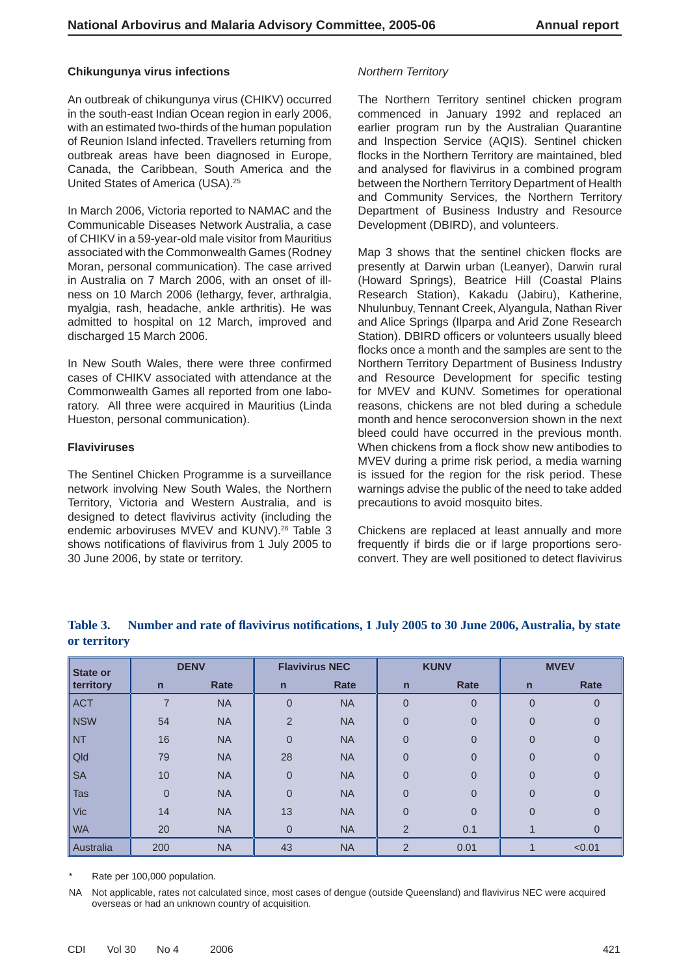#### **Chikungunya virus infections**

An outbreak of chikungunya virus (CHIKV) occurred in the south-east Indian Ocean region in early 2006, with an estimated two-thirds of the human population of Reunion Island infected. Travellers returning from outbreak areas have been diagnosed in Europe, Canada, the Caribbean, South America and the United States of America (USA).25

In March 2006, Victoria reported to NAMAC and the Communicable Diseases Network Australia, a case of CHIKV in a 59-year-old male visitor from Mauritius associated with the Commonwealth Games (Rodney Moran, personal communication). The case arrived in Australia on 7 March 2006, with an onset of illness on 10 March 2006 (lethargy, fever, arthralgia, myalgia, rash, headache, ankle arthritis). He was admitted to hospital on 12 March, improved and discharged 15 March 2006.

In New South Wales, there were three confirmed cases of CHIKV associated with attendance at the Commonwealth Games all reported from one laboratory. All three were acquired in Mauritius (Linda Hueston, personal communication).

#### **Flaviviruses**

The Sentinel Chicken Programme is a surveillance network involving New South Wales, the Northern Territory, Victoria and Western Australia, and is designed to detect flavivirus activity (including the endemic arboviruses MVEV and KUNV).<sup>26</sup> Table 3 shows notifications of flavivirus from 1 July 2005 to 30 June 2006, by state or territory.

#### *Northern Territory*

The Northern Territory sentinel chicken program commenced in January 1992 and replaced an earlier program run by the Australian Quarantine and Inspection Service (AQIS). Sentinel chicken flocks in the Northern Territory are maintained, bled and analysed for flavivirus in a combined program between the Northern Territory Department of Health and Community Services, the Northern Territory Department of Business Industry and Resource Development (DBIRD), and volunteers.

Map 3 shows that the sentinel chicken flocks are presently at Darwin urban (Leanyer), Darwin rural (Howard Springs), Beatrice Hill (Coastal Plains Research Station), Kakadu (Jabiru), Katherine, Nhulunbuy, Tennant Creek, Alyangula, Nathan River and Alice Springs (Ilparpa and Arid Zone Research Station). DBIRD officers or volunteers usually bleed flocks once a month and the samples are sent to the Northern Territory Department of Business Industry and Resource Development for specific testing for MVEV and KUNV. Sometimes for operational reasons, chickens are not bled during a schedule month and hence seroconversion shown in the next bleed could have occurred in the previous month. When chickens from a flock show new antibodies to MVEV during a prime risk period, a media warning is issued for the region for the risk period. These warnings advise the public of the need to take added precautions to avoid mosquito bites.

Chickens are replaced at least annually and more frequently if birds die or if large proportions seroconvert. They are well positioned to detect flavivirus

| <b>State or</b> |                | <b>DENV</b> |                | <b>Flavivirus NEC</b> |                | <b>KUNV</b>    |                | <b>MVEV</b>    |
|-----------------|----------------|-------------|----------------|-----------------------|----------------|----------------|----------------|----------------|
| territory       | $\mathbf n$    | Rate        | $\overline{n}$ | Rate                  | $\overline{n}$ | <b>Rate</b>    | $\mathsf{n}$   | <b>Rate</b>    |
| <b>ACT</b>      | 7              | <b>NA</b>   | $\overline{0}$ | <b>NA</b>             | $\overline{0}$ | $\overline{0}$ | $\overline{0}$ | 0              |
| <b>NSW</b>      | 54             | <b>NA</b>   | $\overline{2}$ | <b>NA</b>             | $\overline{0}$ | $\overline{0}$ | 0              | $\overline{0}$ |
| <b>NT</b>       | 16             | <b>NA</b>   | $\overline{0}$ | <b>NA</b>             | $\overline{0}$ | $\overline{0}$ | 0              | 0              |
| Qld             | 79             | <b>NA</b>   | 28             | <b>NA</b>             | $\Omega$       | $\overline{0}$ | 0              | 0              |
| <b>SA</b>       | 10             | <b>NA</b>   | $\overline{0}$ | <b>NA</b>             | $\overline{0}$ | $\overline{0}$ | 0              | $\overline{0}$ |
| <b>Tas</b>      | $\overline{0}$ | <b>NA</b>   | $\mathbf{0}$   | <b>NA</b>             | $\overline{0}$ | $\overline{0}$ | $\overline{0}$ | 0              |
| <b>Vic</b>      | 14             | <b>NA</b>   | 13             | <b>NA</b>             | $\overline{0}$ | $\overline{0}$ | $\overline{0}$ | $\overline{0}$ |
| <b>WA</b>       | 20             | <b>NA</b>   | $\Omega$       | <b>NA</b>             | $\overline{2}$ | 0.1            |                | $\overline{0}$ |
| Australia       | 200            | <b>NA</b>   | 43             | <b>NA</b>             | $\overline{2}$ | 0.01           |                | < 0.01         |

# Table 3. Number and rate of flavivirus notifications, 1 July 2005 to 30 June 2006, Australia, by state **or territory**

Rate per 100,000 population.

NA Not applicable, rates not calculated since, most cases of dengue (outside Queensland) and flavivirus NEC were acquired overseas or had an unknown country of acquisition.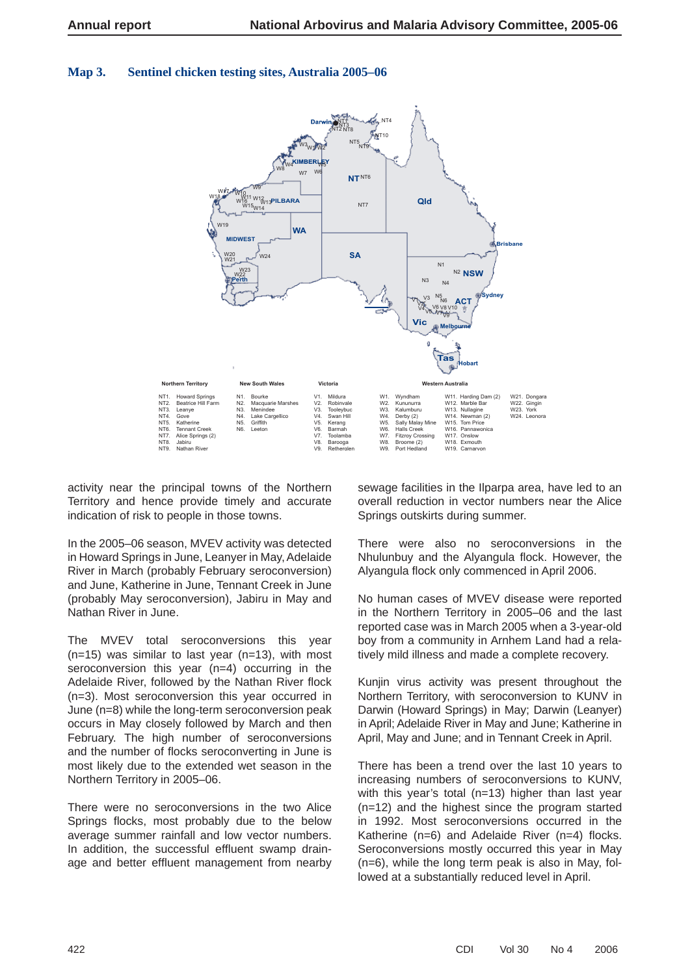# **Map 3. Sentinel chicken testing sites, Australia 2005–06**



activity near the principal towns of the Northern Territory and hence provide timely and accurate indication of risk to people in those towns.

In the 2005–06 season, MVEV activity was detected in Howard Springs in June, Leanyer in May, Adelaide River in March (probably February seroconversion) and June, Katherine in June, Tennant Creek in June (probably May seroconversion), Jabiru in May and Nathan River in June.

The MVEV total seroconversions this year  $(n=15)$  was similar to last year  $(n=13)$ , with most seroconversion this year (n=4) occurring in the Adelaide River, followed by the Nathan River flock (n=3). Most seroconversion this year occurred in June (n=8) while the long-term seroconversion peak occurs in May closely followed by March and then February. The high number of seroconversions and the number of flocks seroconverting in June is most likely due to the extended wet season in the Northern Territory in 2005–06.

There were no seroconversions in the two Alice Springs flocks, most probably due to the below average summer rainfall and low vector numbers. In addition, the successful effluent swamp drainage and better effluent management from nearby

sewage facilities in the Ilparpa area, have led to an overall reduction in vector numbers near the Alice Springs outskirts during summer.

There were also no seroconversions in the Nhulunbuy and the Alyangula flock. However, the Alyangula flock only commenced in April 2006.

No human cases of MVEV disease were reported in the Northern Territory in 2005–06 and the last reported case was in March 2005 when a 3-year-old boy from a community in Arnhem Land had a relatively mild illness and made a complete recovery.

Kunjin virus activity was present throughout the Northern Territory, with seroconversion to KUNV in Darwin (Howard Springs) in May; Darwin (Leanyer) in April; Adelaide River in May and June; Katherine in April, May and June; and in Tennant Creek in April.

There has been a trend over the last 10 years to increasing numbers of seroconversions to KUNV, with this year's total (n=13) higher than last year (n=12) and the highest since the program started in 1992. Most seroconversions occurred in the Katherine  $(n=6)$  and Adelaide River  $(n=4)$  flocks. Seroconversions mostly occurred this year in May (n=6), while the long term peak is also in May, followed at a substantially reduced level in April.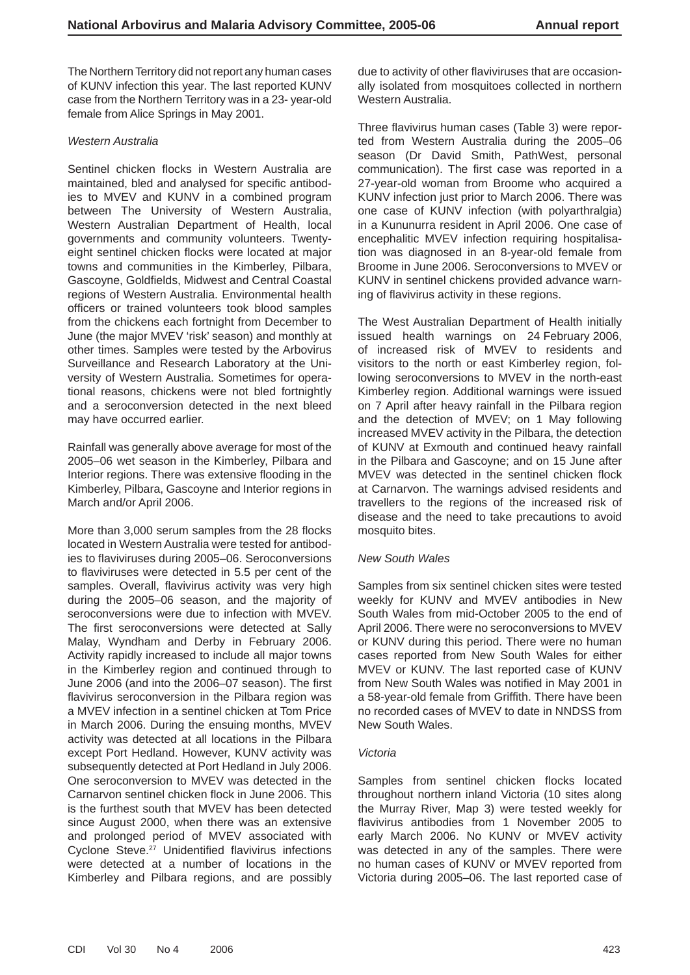The Northern Territory did not report any human cases of KUNV infection this year. The last reported KUNV case from the Northern Territory was in a 23- year-old female from Alice Springs in May 2001.

#### *Western Australia*

Sentinel chicken flocks in Western Australia are maintained, bled and analysed for specific antibodies to MVEV and KUNV in a combined program between The University of Western Australia, Western Australian Department of Health, local governments and community volunteers. Twentyeight sentinel chicken flocks were located at major towns and communities in the Kimberley, Pilbara, Gascoyne, Goldfields, Midwest and Central Coastal regions of Western Australia. Environmental health officers or trained volunteers took blood samples from the chickens each fortnight from December to June (the major MVEV 'risk' season) and monthly at other times. Samples were tested by the Arbovirus Surveillance and Research Laboratory at the University of Western Australia. Sometimes for operational reasons, chickens were not bled fortnightly and a seroconversion detected in the next bleed may have occurred earlier.

Rainfall was generally above average for most of the 2005–06 wet season in the Kimberley, Pilbara and Interior regions. There was extensive flooding in the Kimberley, Pilbara, Gascoyne and Interior regions in March and/or April 2006.

More than 3,000 serum samples from the 28 flocks located in Western Australia were tested for antibodies to flaviviruses during 2005–06. Seroconversions to flaviviruses were detected in 5.5 per cent of the samples. Overall, flavivirus activity was very high during the 2005–06 season, and the majority of seroconversions were due to infection with MVEV. The first seroconversions were detected at Sally Malay, Wyndham and Derby in February 2006. Activity rapidly increased to include all major towns in the Kimberley region and continued through to June 2006 (and into the 2006–07 season). The first flavivirus seroconversion in the Pilbara region was a MVEV infection in a sentinel chicken at Tom Price in March 2006. During the ensuing months, MVEV activity was detected at all locations in the Pilbara except Port Hedland. However, KUNV activity was subsequently detected at Port Hedland in July 2006. One seroconversion to MVEV was detected in the Carnarvon sentinel chicken flock in June 2006. This is the furthest south that MVEV has been detected since August 2000, when there was an extensive and prolonged period of MVEV associated with Cyclone Steve.<sup>27</sup> Unidentified flavivirus infections were detected at a number of locations in the Kimberley and Pilbara regions, and are possibly due to activity of other flaviviruses that are occasionally isolated from mosquitoes collected in northern Western Australia.

Three flavivirus human cases (Table 3) were reported from Western Australia during the 2005–06 season (Dr David Smith, PathWest, personal communication). The first case was reported in a 27-year-old woman from Broome who acquired a KUNV infection just prior to March 2006. There was one case of KUNV infection (with polyarthralgia) in a Kununurra resident in April 2006. One case of encephalitic MVEV infection requiring hospitalisation was diagnosed in an 8-year-old female from Broome in June 2006. Seroconversions to MVEV or KUNV in sentinel chickens provided advance warning of flavivirus activity in these regions.

The West Australian Department of Health initially issued health warnings on 24 February 2006, of increased risk of MVEV to residents and visitors to the north or east Kimberley region, following seroconversions to MVEV in the north-east Kimberley region. Additional warnings were issued on 7 April after heavy rainfall in the Pilbara region and the detection of MVEV; on 1 May following increased MVEV activity in the Pilbara, the detection of KUNV at Exmouth and continued heavy rainfall in the Pilbara and Gascoyne; and on 15 June after MVEV was detected in the sentinel chicken flock at Carnarvon. The warnings advised residents and travellers to the regions of the increased risk of disease and the need to take precautions to avoid mosquito bites.

#### *New South Wales*

Samples from six sentinel chicken sites were tested weekly for KUNV and MVEV antibodies in New South Wales from mid-October 2005 to the end of April 2006. There were no seroconversions to MVEV or KUNV during this period. There were no human cases reported from New South Wales for either MVEV or KUNV. The last reported case of KUNV from New South Wales was notified in May 2001 in a 58-year-old female from Griffith. There have been no recorded cases of MVEV to date in NNDSS from New South Wales.

#### *Victoria*

Samples from sentinel chicken flocks located throughout northern inland Victoria (10 sites along the Murray River, Map 3) were tested weekly for flavivirus antibodies from 1 November 2005 to early March 2006. No KUNV or MVEV activity was detected in any of the samples. There were no human cases of KUNV or MVEV reported from Victoria during 2005–06. The last reported case of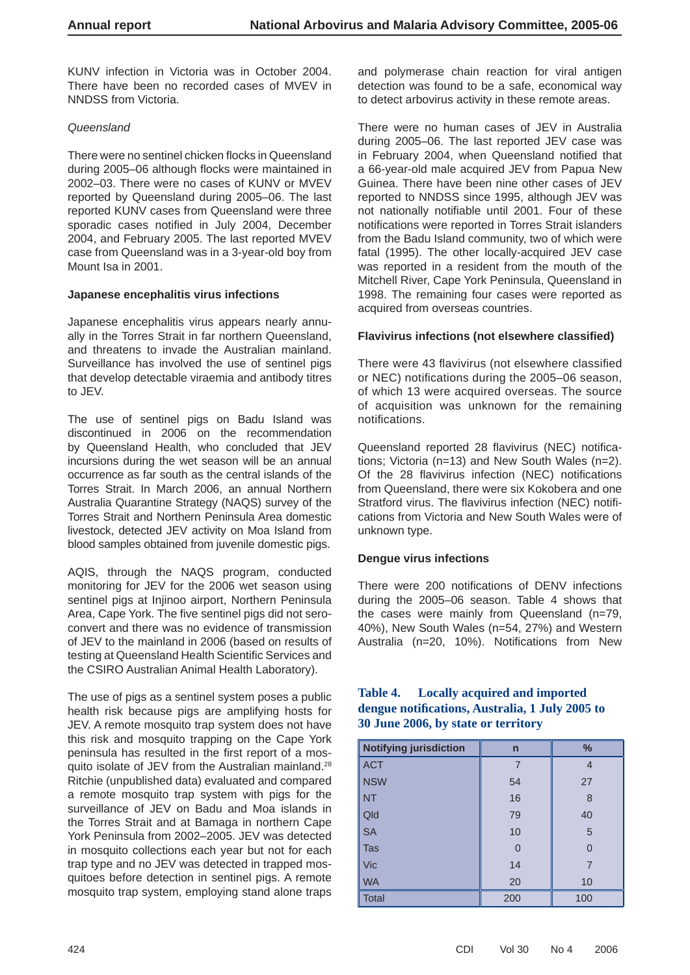KUNV infection in Victoria was in October 2004. There have been no recorded cases of MVEV in NNDSS from Victoria.

#### *Queensland*

There were no sentinel chicken flocks in Queensland during 2005–06 although flocks were maintained in 2002–03. There were no cases of KUNV or MVEV reported by Queensland during 2005–06. The last reported KUNV cases from Queensland were three sporadic cases notified in July 2004, December 2004, and February 2005. The last reported MVEV case from Queensland was in a 3-year-old boy from Mount Isa in 2001.

#### **Japanese encephalitis virus infections**

Japanese encephalitis virus appears nearly annually in the Torres Strait in far northern Queensland, and threatens to invade the Australian mainland. Surveillance has involved the use of sentinel pigs that develop detectable viraemia and antibody titres to JEV.

The use of sentinel pigs on Badu Island was discontinued in 2006 on the recommendation by Queensland Health, who concluded that JEV incursions during the wet season will be an annual occurrence as far south as the central islands of the Torres Strait. In March 2006, an annual Northern Australia Quarantine Strategy (NAQS) survey of the Torres Strait and Northern Peninsula Area domestic livestock, detected JEV activity on Moa Island from blood samples obtained from juvenile domestic pigs.

AQIS, through the NAQS program, conducted monitoring for JEV for the 2006 wet season using sentinel pigs at Injinoo airport, Northern Peninsula Area, Cape York. The five sentinel pigs did not seroconvert and there was no evidence of transmission of JEV to the mainland in 2006 (based on results of testing at Queensland Health Scientific Services and the CSIRO Australian Animal Health Laboratory).

The use of pigs as a sentinel system poses a public health risk because pigs are amplifying hosts for JEV. A remote mosquito trap system does not have this risk and mosquito trapping on the Cape York peninsula has resulted in the first report of a mosquito isolate of JEV from the Australian mainland.28 Ritchie (unpublished data) evaluated and compared a remote mosquito trap system with pigs for the surveillance of JEV on Badu and Moa islands in the Torres Strait and at Bamaga in northern Cape York Peninsula from 2002–2005. JEV was detected in mosquito collections each year but not for each trap type and no JEV was detected in trapped mosquitoes before detection in sentinel pigs. A remote mosquito trap system, employing stand alone traps

and polymerase chain reaction for viral antigen detection was found to be a safe, economical way to detect arbovirus activity in these remote areas.

There were no human cases of JEV in Australia during 2005–06. The last reported JEV case was in February 2004, when Queensland notified that a 66-year-old male acquired JEV from Papua New Guinea. There have been nine other cases of JEV reported to NNDSS since 1995, although JEV was not nationally notifiable until 2001. Four of these notifications were reported in Torres Strait islanders from the Badu Island community, two of which were fatal (1995). The other locally-acquired JEV case was reported in a resident from the mouth of the Mitchell River, Cape York Peninsula, Queensland in 1998. The remaining four cases were reported as acquired from overseas countries.

#### **Flavivirus infections (not elsewhere classified)**

There were 43 flavivirus (not elsewhere classified or NEC) notifications during the 2005-06 season, of which 13 were acquired overseas. The source of acquisition was unknown for the remaining notifications.

Queensland reported 28 flavivirus (NEC) notifications; Victoria (n=13) and New South Wales (n=2). Of the 28 flavivirus infection (NEC) notifications from Queensland, there were six Kokobera and one Stratford virus. The flavivirus infection (NEC) notifications from Victoria and New South Wales were of unknown type.

#### **Dengue virus infections**

There were 200 notifications of DENV infections during the 2005–06 season. Table 4 shows that the cases were mainly from Queensland (n=79, 40%), New South Wales (n=54, 27%) and Western Australia (n=20, 10%). Notifications from New

#### **Table 4. Locally acquired and imported dengue notifi cations, Australia, 1 July 2005 to 30 June 2006, by state or territory**

| Notifying jurisdiction | $\mathsf{n}$ | $\frac{9}{6}$ |
|------------------------|--------------|---------------|
| <b>ACT</b>             |              | 4             |
| <b>NSW</b>             | 54           | 27            |
| <b>NT</b>              | 16           | 8             |
| Qld                    | 79           | 40            |
| <b>SA</b>              | 10           | 5             |
| Tas                    | $\Omega$     | $\Omega$      |
| Vic                    | 14           |               |
| <b>WA</b>              | 20           | 10            |
| <b>Total</b>           | 200          | 100           |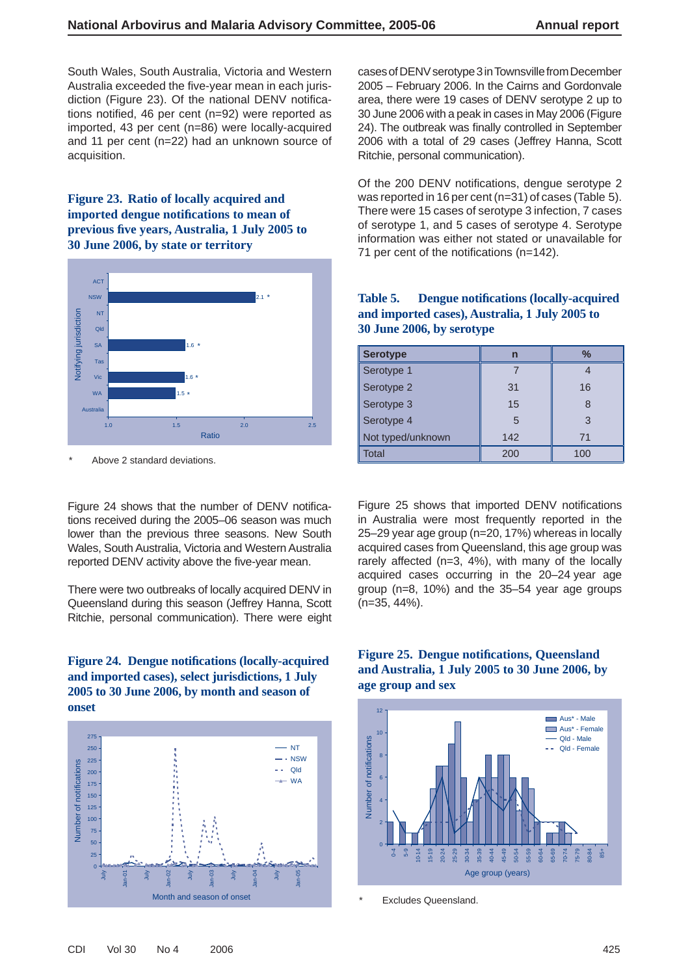South Wales, South Australia, Victoria and Western Australia exceeded the five-year mean in each jurisdiction (Figure 23). Of the national DENV notifications notified, 46 per cent ( $n=92$ ) were reported as imported, 43 per cent (n=86) were locally-acquired and 11 per cent (n=22) had an unknown source of acquisition.

# **Figure 23. Ratio of locally acquired and imported dengue notifi cations to mean of previous fi ve years, Australia, 1 July 2005 to 30 June 2006, by state or territory**



Above 2 standard deviations.

Figure 24 shows that the number of DENV notifications received during the 2005–06 season was much lower than the previous three seasons. New South Wales, South Australia, Victoria and Western Australia reported DENV activity above the five-year mean.

There were two outbreaks of locally acquired DENV in Queensland during this season (Jeffrey Hanna, Scott Ritchie, personal communication). There were eight

#### Figure 24. Dengue notifications (locally-acquired **and imported cases), select jurisdictions, 1 July 2005 to 30 June 2006, by month and season of onset**



cases of DENV serotype 3 in Townsville from December 2005 – February 2006. In the Cairns and Gordonvale area, there were 19 cases of DENV serotype 2 up to 30 June 2006 with a peak in cases in May 2006 (Figure 24). The outbreak was finally controlled in September 2006 with a total of 29 cases (Jeffrey Hanna, Scott Ritchie, personal communication).

Of the 200 DENV notifications, dengue serotype 2 was reported in 16 per cent (n=31) of cases (Table 5). There were 15 cases of serotype 3 infection, 7 cases of serotype 1, and 5 cases of serotype 4. Serotype information was either not stated or unavailable for 71 per cent of the notifications  $(n=142)$ .

#### Table 5. Dengue notifications (locally-acquired **and imported cases), Australia, 1 July 2005 to 30 June 2006, by serotype**

| <b>Serotype</b>   | n   | $\frac{0}{2}$ |
|-------------------|-----|---------------|
| Serotype 1        |     |               |
| Serotype 2        | 31  | 16            |
| Serotype 3        | 15  | 8             |
| Serotype 4        | 5   | 3             |
| Not typed/unknown | 142 | 71            |
| Total             | 200 | 100           |

Figure 25 shows that imported DENV notifications in Australia were most frequently reported in the 25–29 year age group (n=20, 17%) whereas in locally acquired cases from Queensland, this age group was rarely affected (n=3, 4%), with many of the locally acquired cases occurring in the 20–24 year age group (n=8, 10%) and the 35–54 year age groups (n=35, 44%).

# **Figure 25. Dengue notifications, Queensland and Australia, 1 July 2005 to 30 June 2006, by age group and sex**



**Excludes Queensland.**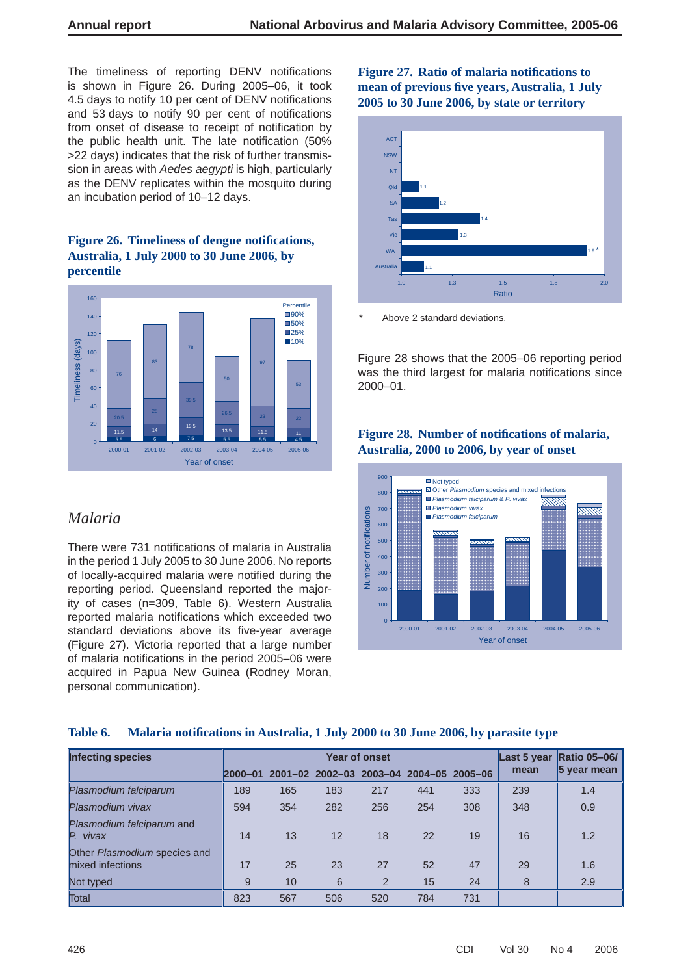The timeliness of reporting DENV notifications is shown in Figure 26. During 2005–06, it took 4.5 days to notify 10 per cent of DENV notifications and 53 days to notify 90 per cent of notifications from onset of disease to receipt of notification by the public health unit. The late notification (50% >22 days) indicates that the risk of further transmission in areas with *Aedes aegypti* is high, particularly as the DENV replicates within the mosquito during an incubation period of 10–12 days.

#### Figure 26. Timeliness of dengue notifications, **Australia, 1 July 2000 to 30 June 2006, by percentile**



# *Malaria*

There were 731 notifications of malaria in Australia in the period 1 July 2005 to 30 June 2006. No reports of locally-acquired malaria were notified during the reporting period. Queensland reported the majority of cases (n=309, Table 6). Western Australia reported malaria notifications which exceeded two standard deviations above its five-vear average (Figure 27). Victoria reported that a large number of malaria notifications in the period 2005–06 were acquired in Papua New Guinea (Rodney Moran, personal communication).

# Figure 27. Ratio of malaria notifications to **mean of previous fi ve years, Australia, 1 July 2005 to 30 June 2006, by state or territory**



Above 2 standard deviations.

Figure 28 shows that the 2005–06 reporting period was the third largest for malaria notifications since 2000–01.

# Figure 28. Number of notifications of malaria, **Australia, 2000 to 2006, by year of onset**



# **Table 6. Malaria notifi cations in Australia, 1 July 2000 to 30 June 2006, by parasite type**

| <b>Infecting species</b>                         |                     |     |     | Year of onset                           |     |     | Last 5 year | <b>Ratio 05-06/</b> |
|--------------------------------------------------|---------------------|-----|-----|-----------------------------------------|-----|-----|-------------|---------------------|
|                                                  | $\parallel$ 2000-01 |     |     | 2001-02 2002-03 2003-04 2004-05 2005-06 |     |     | mean        | 5 year mean         |
| Plasmodium falciparum                            | 189                 | 165 | 183 | 217                                     | 441 | 333 | 239         | 1.4                 |
| Plasmodium vivax                                 | 594                 | 354 | 282 | 256                                     | 254 | 308 | 348         | 0.9                 |
| Plasmodium falciparum and<br>P. vivax            | 14                  | 13  | 12  | 18                                      | 22  | 19  | 16          | 1.2                 |
| Other Plasmodium species and<br>mixed infections | 17                  | 25  | 23  | 27                                      | 52  | 47  | 29          | 1.6                 |
| Not typed                                        | 9                   | 10  | 6   | $\mathcal{P}$                           | 15  | 24  | 8           | 2.9                 |
| Total                                            | 823                 | 567 | 506 | 520                                     | 784 | 731 |             |                     |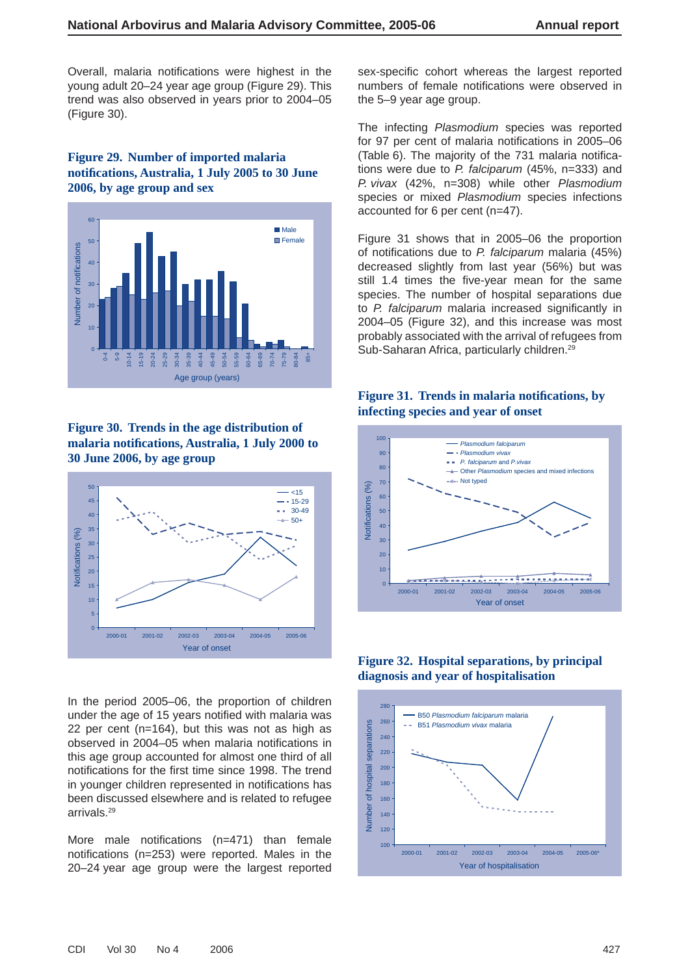Overall, malaria notifications were highest in the young adult 20–24 year age group (Figure 29). This trend was also observed in years prior to 2004–05 (Figure 30).

# **Figure 29. Number of imported malaria notifi cations, Australia, 1 July 2005 to 30 June 2006, by age group and sex**



## **Figure 30. Trends in the age distribution of malaria notifi cations, Australia, 1 July 2000 to 30 June 2006, by age group**



In the period 2005–06, the proportion of children under the age of 15 years notified with malaria was 22 per cent (n=164), but this was not as high as observed in 2004–05 when malaria notifications in this age group accounted for almost one third of all notifications for the first time since 1998. The trend in younger children represented in notifications has been discussed elsewhere and is related to refugee arrivals.29

More male notifications  $(n=471)$  than female notifications ( $n=253$ ) were reported. Males in the 20–24 year age group were the largest reported sex-specific cohort whereas the largest reported numbers of female notifications were observed in the 5–9 year age group.

The infecting *Plasmodium* species was reported for 97 per cent of malaria notifications in 2005–06 (Table 6). The majority of the 731 malaria notifications were due to *P. falciparum* (45%, n=333) and *P. vivax* (42%, n=308) while other *Plasmodium* species or mixed *Plasmodium* species infections accounted for 6 per cent (n=47).

Figure 31 shows that in 2005–06 the proportion of notifi cations due to *P. falciparum* malaria (45%) decreased slightly from last year (56%) but was still 1.4 times the five-year mean for the same species. The number of hospital separations due to *P. falciparum* malaria increased significantly in 2004–05 (Figure 32), and this increase was most probably associated with the arrival of refugees from Sub-Saharan Africa, particularly children.<sup>29</sup>

#### **Figure 31. Trends in malaria notifications, by infecting species and year of onset**



# **Figure 32. Hospital separations, by principal diagnosis and year of hospitalisation**

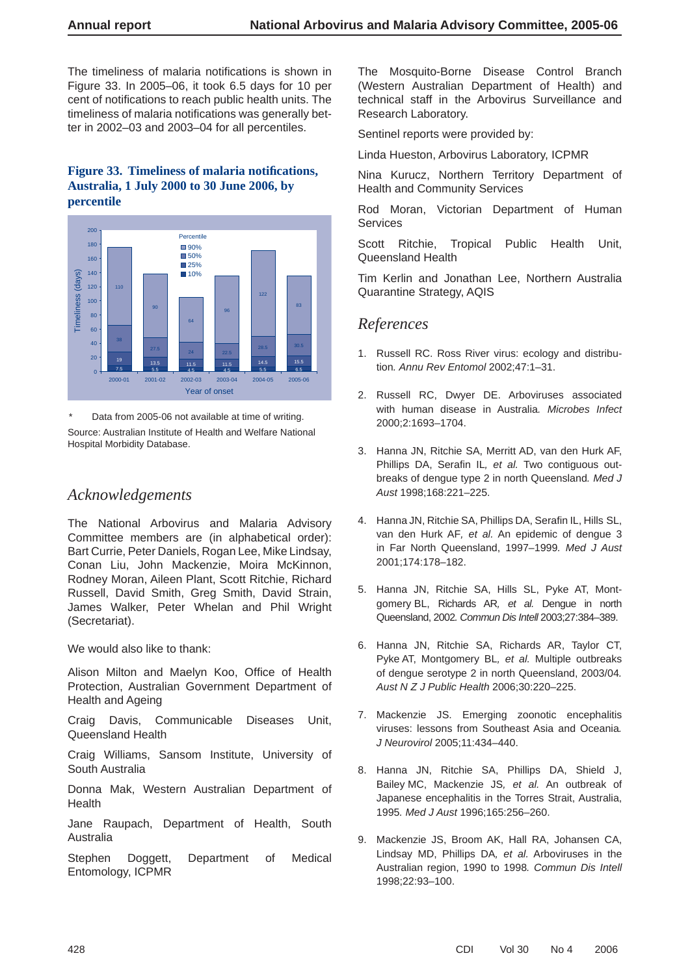The timeliness of malaria notifications is shown in Figure 33. In 2005–06, it took 6.5 days for 10 per cent of notifications to reach public health units. The timeliness of malaria notifications was generally better in 2002–03 and 2003–04 for all percentiles.

#### Figure 33. Timeliness of malaria notifications, **Australia, 1 July 2000 to 30 June 2006, by percentile**



Data from 2005-06 not available at time of writing. Source: Australian Institute of Health and Welfare National Hospital Morbidity Database.

# *Acknowledgements*

The National Arbovirus and Malaria Advisory Committee members are (in alphabetical order): Bart Currie, Peter Daniels, Rogan Lee, Mike Lindsay, Conan Liu, John Mackenzie, Moira McKinnon, Rodney Moran, Aileen Plant, Scott Ritchie, Richard Russell, David Smith, Greg Smith, David Strain, James Walker, Peter Whelan and Phil Wright (Secretariat).

We would also like to thank:

Alison Milton and Maelyn Koo, Office of Health Protection, Australian Government Department of Health and Ageing

Craig Davis, Communicable Diseases Unit, Queensland Health

Craig Williams, Sansom Institute, University of South Australia

Donna Mak, Western Australian Department of **Health** 

Jane Raupach, Department of Health, South Australia

Stephen Doggett, Department of Medical Entomology, ICPMR

The Mosquito-Borne Disease Control Branch (Western Australian Department of Health) and technical staff in the Arbovirus Surveillance and Research Laboratory.

Sentinel reports were provided by:

Linda Hueston, Arbovirus Laboratory, ICPMR

Nina Kurucz, Northern Territory Department of Health and Community Services

Rod Moran, Victorian Department of Human Services

Scott Ritchie, Tropical Public Health Unit, Queensland Health

Tim Kerlin and Jonathan Lee, Northern Australia Quarantine Strategy, AQIS

# *References*

- 1. Russell RC. Ross River virus: ecology and distribution*. Annu Rev Entomol* 2002;47:1–31.
- 2. Russell RC, Dwyer DE. Arboviruses associated with human disease in Australia*. Microbes Infect* 2000;2:1693–1704.
- 3. Hanna JN, Ritchie SA, Merritt AD, van den Hurk AF, Phillips DA, Serafin IL, et al. Two contiguous outbreaks of dengue type 2 in north Queensland*. Med J Aust* 1998;168:221–225.
- 4. Hanna JN, Ritchie SA, Phillips DA, Serafin IL, Hills SL, van den Hurk AF*, et al.* An epidemic of dengue 3 in Far North Queensland, 1997–1999*. Med J Aust* 2001;174:178–182.
- 5. Hanna JN, Ritchie SA, Hills SL, Pyke AT, Montgomery BL, Richards AR*, et al.* Dengue in north Queensland, 2002*. Commun Dis Intell* 2003;27:384–389.
- 6. Hanna JN, Ritchie SA, Richards AR, Taylor CT, Pyke AT, Montgomery BL*, et al.* Multiple outbreaks of dengue serotype 2 in north Queensland, 2003/04*. Aust N Z J Public Health* 2006;30:220–225.
- 7. Mackenzie JS. Emerging zoonotic encephalitis viruses: lessons from Southeast Asia and Oceania*. J Neurovirol* 2005;11:434–440.
- 8. Hanna JN, Ritchie SA, Phillips DA, Shield J, Bailey MC, Mackenzie JS*, et al.* An outbreak of Japanese encephalitis in the Torres Strait, Australia, 1995*. Med J Aust* 1996;165:256–260.
- 9. Mackenzie JS, Broom AK, Hall RA, Johansen CA, Lindsay MD, Phillips DA*, et al.* Arboviruses in the Australian region, 1990 to 1998*. Commun Dis Intell* 1998;22:93–100.